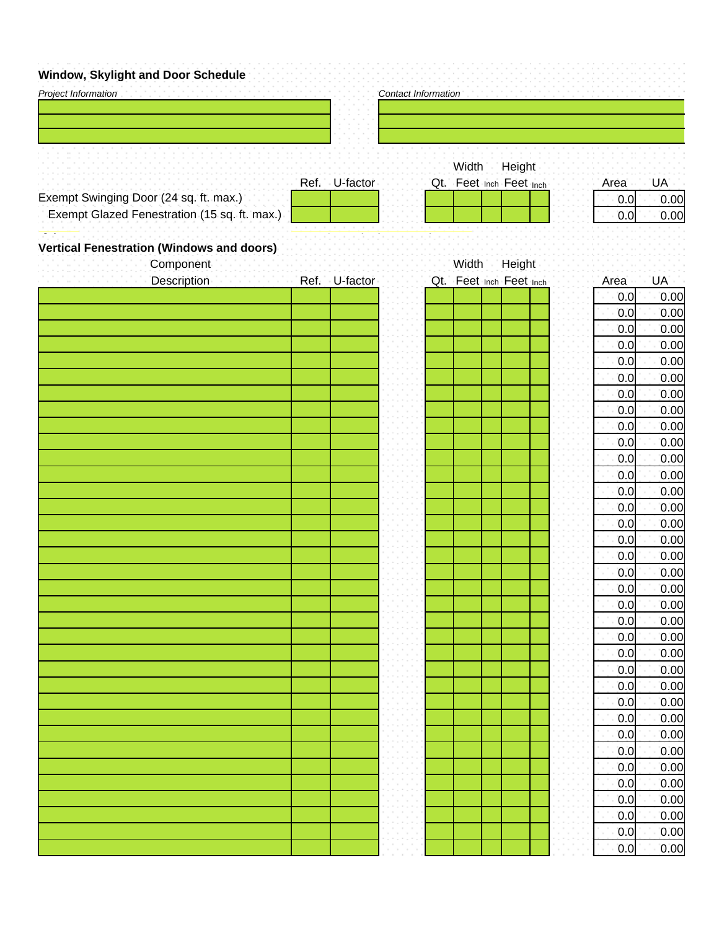## **Window, Skylight and Door Schedule**

| <br><b>ALLA RAAL AALIAARD</b><br>Project Information          |               | Contact Information |                         |        |      |           |
|---------------------------------------------------------------|---------------|---------------------|-------------------------|--------|------|-----------|
|                                                               |               |                     |                         |        |      |           |
|                                                               |               |                     |                         |        |      |           |
|                                                               |               |                     |                         |        |      |           |
|                                                               |               |                     | Width                   | Height |      |           |
|                                                               | Ref. U-factor |                     | Qt. Feet Inch Feet Inch |        | Area | <b>UA</b> |
| Exempt Swinging Door (24 sq. ft. max.)                        |               |                     |                         |        | 0.0  | 0.00      |
| Exempt Glazed Fenestration (15 sq. ft. max.).                 |               |                     |                         |        | 0.0  | 0.00      |
|                                                               |               |                     |                         |        |      |           |
| <b>Vertical Fenestration (Windows and doors)</b><br>Component |               |                     | Width                   | Height |      |           |
| Description Ref. - U-factor                                   |               |                     | Qt. Feet Inch Feet Inch |        | Area | <b>UA</b> |
|                                                               |               |                     |                         |        | 0.0  | 0.00      |
|                                                               |               |                     |                         |        | 0.0  | 0.00      |
|                                                               |               |                     |                         |        | 0.0  | 0.00      |
|                                                               |               |                     |                         |        | 0.0  | 0.00      |
|                                                               |               |                     |                         |        | 0.0  | 0.00      |
|                                                               |               |                     |                         |        | 0.0  | 0.00      |
|                                                               |               |                     |                         |        | 0.0  | 0.00      |
|                                                               |               |                     |                         |        | 0.0  | 0.00      |
|                                                               |               |                     |                         |        | 0.0  | 0.00      |
|                                                               |               |                     |                         |        | 0.0  | 0.00      |
|                                                               |               |                     |                         |        | 0.0  | 0.00      |
|                                                               |               |                     |                         |        | 0.0  | 0.00      |
|                                                               |               |                     |                         |        | 0.0  | 0.00      |
|                                                               |               |                     |                         |        | 0.0  | 0.00      |
|                                                               |               |                     |                         |        | 0.0  | 0.00      |
|                                                               |               |                     |                         |        | 0.0  | 0.00      |
|                                                               |               |                     |                         |        | 0.0  | 0.00      |
|                                                               |               |                     |                         |        | 0.0  | 0.00      |
|                                                               |               |                     |                         |        | 0.0  | 0.00      |
|                                                               |               |                     |                         |        | 0.0  | 0.00      |
|                                                               |               |                     |                         |        | 0.0  | 0.00      |
|                                                               |               |                     |                         |        | 0.0  | 0.00      |
|                                                               |               |                     |                         |        | 0.0  | 0.00      |
|                                                               |               |                     |                         |        | 0.0  | 0.00      |
|                                                               |               |                     |                         |        | 0.0  | 0.00      |
|                                                               |               |                     |                         |        | 0.0  | 0.00      |
|                                                               |               |                     |                         |        | 0.0  | 0.00      |
|                                                               |               |                     |                         |        | 0.0  | 0.00      |
|                                                               |               |                     |                         |        | 0.0  | 0.00      |
|                                                               |               |                     |                         |        | 0.0  | 0.00      |
|                                                               |               |                     |                         |        | 0.0  | 0.00      |
|                                                               |               |                     |                         |        | 0.0  | 0.00      |
|                                                               |               |                     |                         |        | 0.0  | 0.00      |
|                                                               |               |                     |                         |        | 0.0  | 0.00      |
|                                                               |               |                     |                         |        | 0.0  | 0.00      |